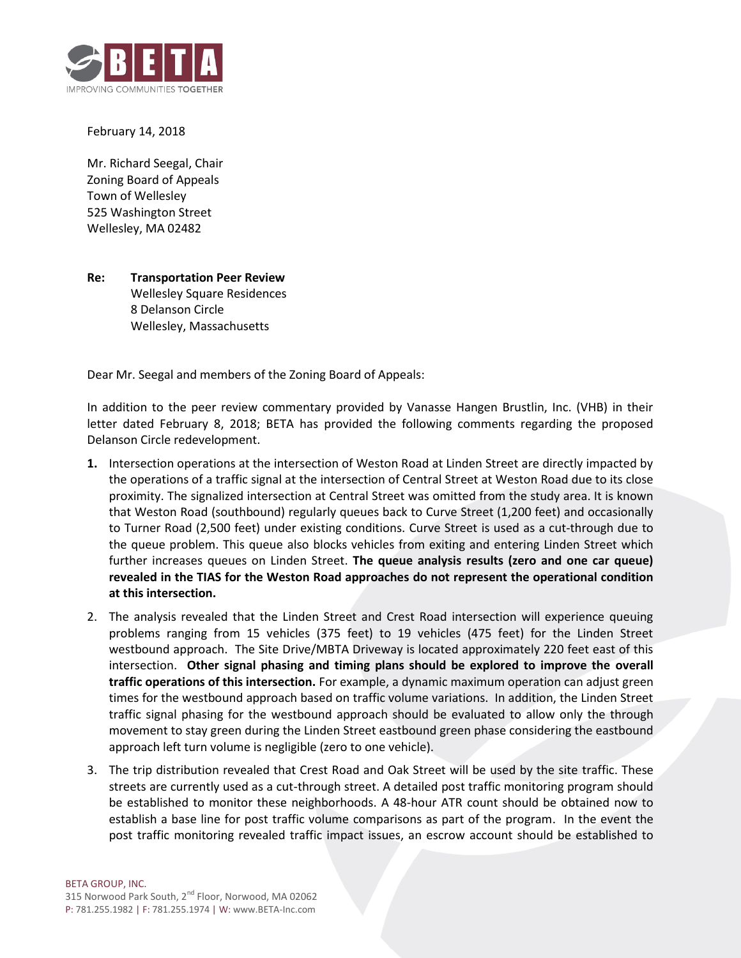

## February 14, 2018

Mr. Richard Seegal, Chair Zoning Board of Appeals Town of Wellesley 525 Washington Street Wellesley, MA 02482

## **Re: Transportation Peer Review** Wellesley Square Residences

8 Delanson Circle Wellesley, Massachusetts

Dear Mr. Seegal and members of the Zoning Board of Appeals:

In addition to the peer review commentary provided by Vanasse Hangen Brustlin, Inc. (VHB) in their letter dated February 8, 2018; BETA has provided the following comments regarding the proposed Delanson Circle redevelopment.

- **1.** Intersection operations at the intersection of Weston Road at Linden Street are directly impacted by the operations of a traffic signal at the intersection of Central Street at Weston Road due to its close proximity. The signalized intersection at Central Street was omitted from the study area. It is known that Weston Road (southbound) regularly queues back to Curve Street (1,200 feet) and occasionally to Turner Road (2,500 feet) under existing conditions. Curve Street is used as a cut-through due to the queue problem. This queue also blocks vehicles from exiting and entering Linden Street which further increases queues on Linden Street. **The queue analysis results (zero and one car queue) revealed in the TIAS for the Weston Road approaches do not represent the operational condition at this intersection.**
- 2. The analysis revealed that the Linden Street and Crest Road intersection will experience queuing problems ranging from 15 vehicles (375 feet) to 19 vehicles (475 feet) for the Linden Street westbound approach. The Site Drive/MBTA Driveway is located approximately 220 feet east of this intersection. **Other signal phasing and timing plans should be explored to improve the overall traffic operations of this intersection.** For example, a dynamic maximum operation can adjust green times for the westbound approach based on traffic volume variations. In addition, the Linden Street traffic signal phasing for the westbound approach should be evaluated to allow only the through movement to stay green during the Linden Street eastbound green phase considering the eastbound approach left turn volume is negligible (zero to one vehicle).
- 3. The trip distribution revealed that Crest Road and Oak Street will be used by the site traffic. These streets are currently used as a cut-through street. A detailed post traffic monitoring program should be established to monitor these neighborhoods. A 48-hour ATR count should be obtained now to establish a base line for post traffic volume comparisons as part of the program. In the event the post traffic monitoring revealed traffic impact issues, an escrow account should be established to